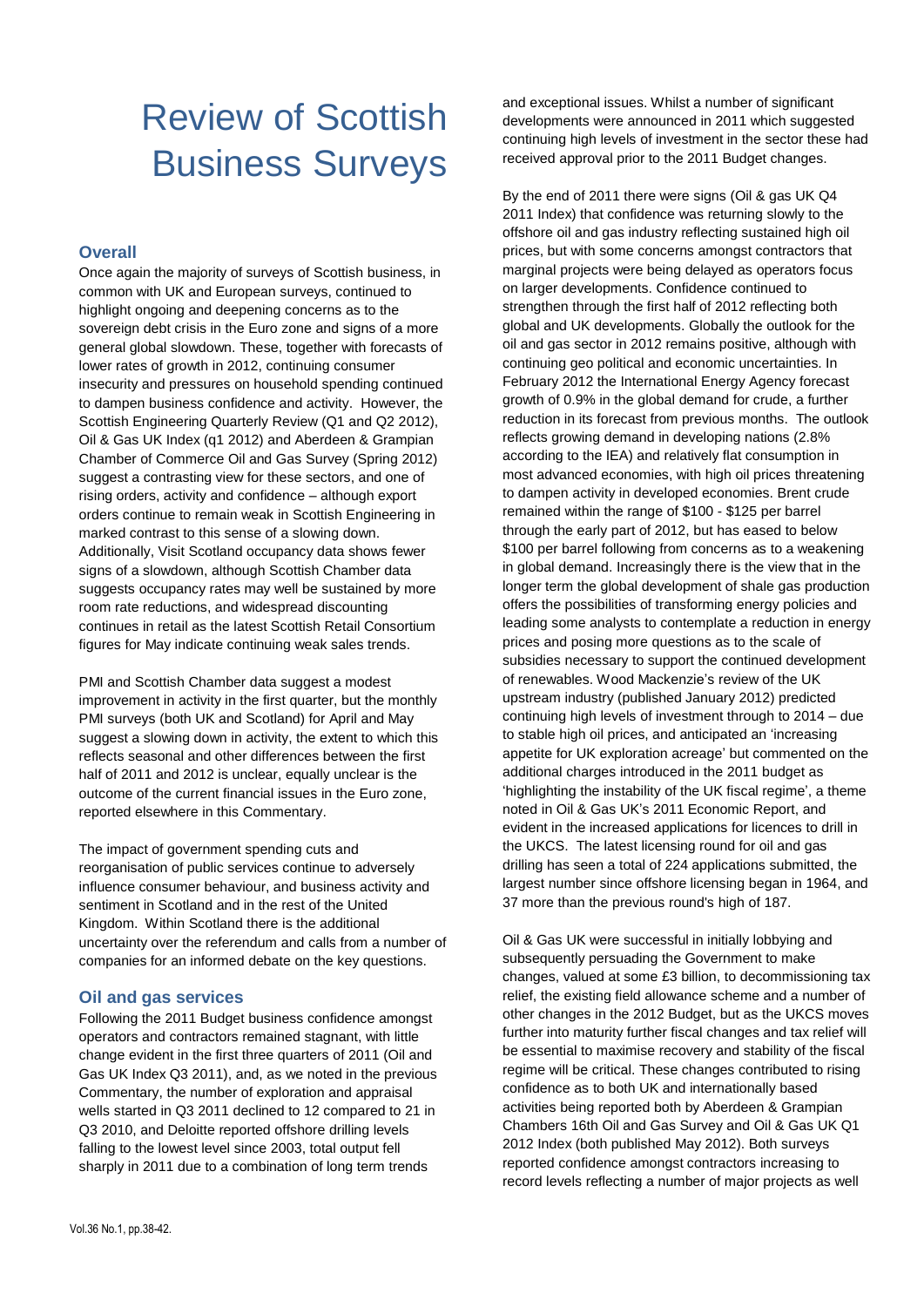# Review of Scottish Business Surveys

#### **Overall**

Once again the majority of surveys of Scottish business, in common with UK and European surveys, continued to highlight ongoing and deepening concerns as to the sovereign debt crisis in the Euro zone and signs of a more general global slowdown. These, together with forecasts of lower rates of growth in 2012, continuing consumer insecurity and pressures on household spending continued to dampen business confidence and activity. However, the Scottish Engineering Quarterly Review (Q1 and Q2 2012), Oil & Gas UK Index (q1 2012) and Aberdeen & Grampian Chamber of Commerce Oil and Gas Survey (Spring 2012) suggest a contrasting view for these sectors, and one of rising orders, activity and confidence – although export orders continue to remain weak in Scottish Engineering in marked contrast to this sense of a slowing down. Additionally, Visit Scotland occupancy data shows fewer signs of a slowdown, although Scottish Chamber data suggests occupancy rates may well be sustained by more room rate reductions, and widespread discounting continues in retail as the latest Scottish Retail Consortium figures for May indicate continuing weak sales trends.

PMI and Scottish Chamber data suggest a modest improvement in activity in the first quarter, but the monthly PMI surveys (both UK and Scotland) for April and May suggest a slowing down in activity, the extent to which this reflects seasonal and other differences between the first half of 2011 and 2012 is unclear, equally unclear is the outcome of the current financial issues in the Euro zone, reported elsewhere in this Commentary.

The impact of government spending cuts and reorganisation of public services continue to adversely influence consumer behaviour, and business activity and sentiment in Scotland and in the rest of the United Kingdom. Within Scotland there is the additional uncertainty over the referendum and calls from a number of companies for an informed debate on the key questions.

## **Oil and gas services**

Following the 2011 Budget business confidence amongst operators and contractors remained stagnant, with little change evident in the first three quarters of 2011 (Oil and Gas UK Index Q3 2011), and, as we noted in the previous Commentary, the number of exploration and appraisal wells started in Q3 2011 declined to 12 compared to 21 in Q3 2010, and Deloitte reported offshore drilling levels falling to the lowest level since 2003, total output fell sharply in 2011 due to a combination of long term trends

and exceptional issues. Whilst a number of significant developments were announced in 2011 which suggested continuing high levels of investment in the sector these had received approval prior to the 2011 Budget changes.

By the end of 2011 there were signs (Oil & gas UK Q4 2011 Index) that confidence was returning slowly to the offshore oil and gas industry reflecting sustained high oil prices, but with some concerns amongst contractors that marginal projects were being delayed as operators focus on larger developments. Confidence continued to strengthen through the first half of 2012 reflecting both global and UK developments. Globally the outlook for the oil and gas sector in 2012 remains positive, although with continuing geo political and economic uncertainties. In February 2012 the International Energy Agency forecast growth of 0.9% in the global demand for crude, a further reduction in its forecast from previous months. The outlook reflects growing demand in developing nations (2.8% according to the IEA) and relatively flat consumption in most advanced economies, with high oil prices threatening to dampen activity in developed economies. Brent crude remained within the range of \$100 - \$125 per barrel through the early part of 2012, but has eased to below \$100 per barrel following from concerns as to a weakening in global demand. Increasingly there is the view that in the longer term the global development of shale gas production offers the possibilities of transforming energy policies and leading some analysts to contemplate a reduction in energy prices and posing more questions as to the scale of subsidies necessary to support the continued development of renewables. Wood Mackenzie's review of the UK upstream industry (published January 2012) predicted continuing high levels of investment through to 2014 – due to stable high oil prices, and anticipated an 'increasing appetite for UK exploration acreage' but commented on the additional charges introduced in the 2011 budget as 'highlighting the instability of the UK fiscal regime', a theme noted in Oil & Gas UK's 2011 Economic Report, and evident in the increased applications for licences to drill in the UKCS. The latest licensing round for oil and gas drilling has seen a total of 224 applications submitted, the largest number since offshore licensing began in 1964, and 37 more than the previous round's high of 187.

Oil & Gas UK were successful in initially lobbying and subsequently persuading the Government to make changes, valued at some £3 billion, to decommissioning tax relief, the existing field allowance scheme and a number of other changes in the 2012 Budget, but as the UKCS moves further into maturity further fiscal changes and tax relief will be essential to maximise recovery and stability of the fiscal regime will be critical. These changes contributed to rising confidence as to both UK and internationally based activities being reported both by Aberdeen & Grampian Chambers 16th Oil and Gas Survey and Oil & Gas UK Q1 2012 Index (both published May 2012). Both surveys reported confidence amongst contractors increasing to record levels reflecting a number of major projects as well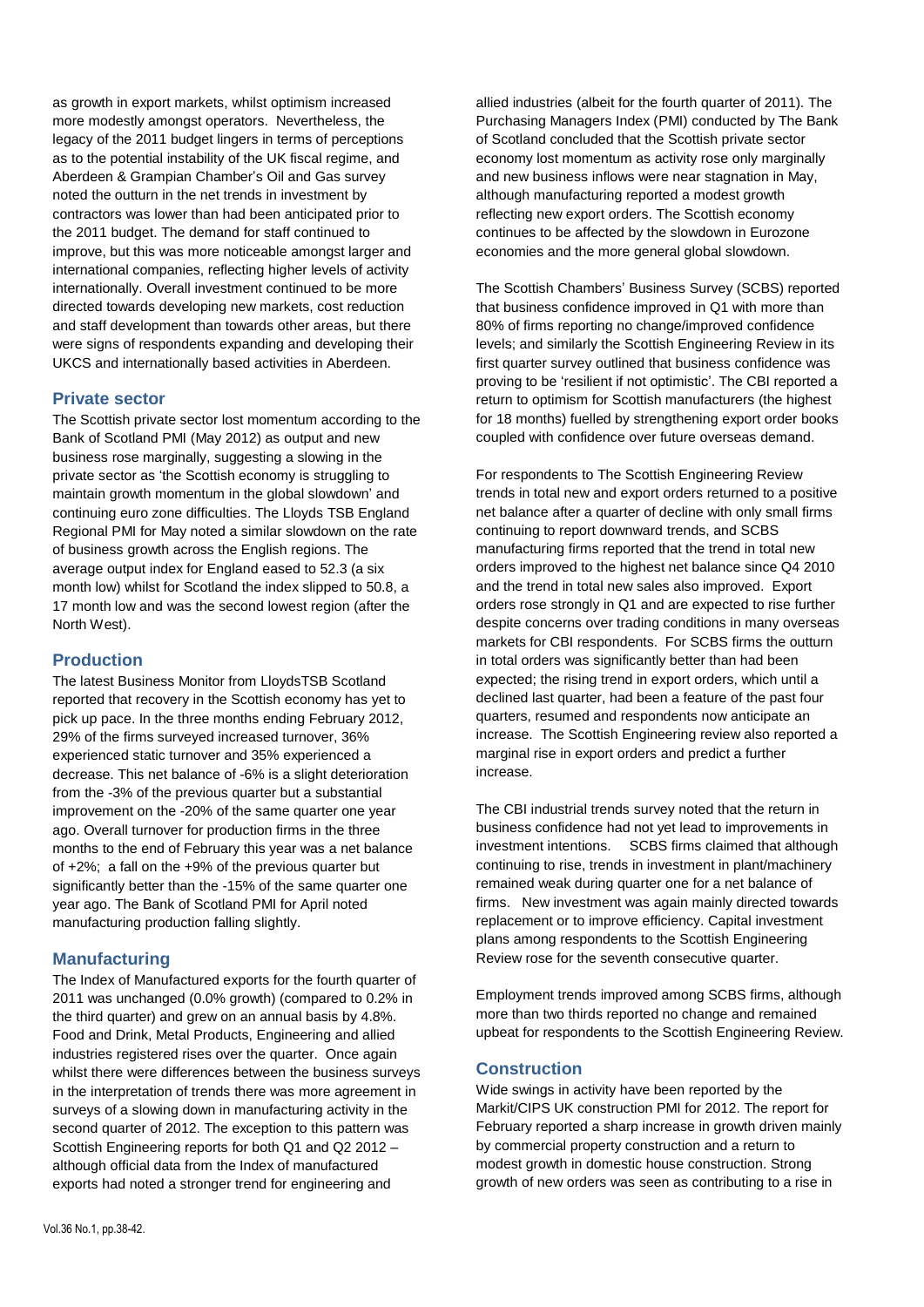as growth in export markets, whilst optimism increased more modestly amongst operators. Nevertheless, the legacy of the 2011 budget lingers in terms of perceptions as to the potential instability of the UK fiscal regime, and Aberdeen & Grampian Chamber's Oil and Gas survey noted the outturn in the net trends in investment by contractors was lower than had been anticipated prior to the 2011 budget. The demand for staff continued to improve, but this was more noticeable amongst larger and international companies, reflecting higher levels of activity internationally. Overall investment continued to be more directed towards developing new markets, cost reduction and staff development than towards other areas, but there were signs of respondents expanding and developing their UKCS and internationally based activities in Aberdeen.

#### **Private sector**

The Scottish private sector lost momentum according to the Bank of Scotland PMI (May 2012) as output and new business rose marginally, suggesting a slowing in the private sector as 'the Scottish economy is struggling to maintain growth momentum in the global slowdown' and continuing euro zone difficulties. The Lloyds TSB England Regional PMI for May noted a similar slowdown on the rate of business growth across the English regions. The average output index for England eased to 52.3 (a six month low) whilst for Scotland the index slipped to 50.8, a 17 month low and was the second lowest region (after the North West).

## **Production**

The latest Business Monitor from LloydsTSB Scotland reported that recovery in the Scottish economy has yet to pick up pace. In the three months ending February 2012, 29% of the firms surveyed increased turnover, 36% experienced static turnover and 35% experienced a decrease. This net balance of -6% is a slight deterioration from the -3% of the previous quarter but a substantial improvement on the -20% of the same quarter one year ago. Overall turnover for production firms in the three months to the end of February this year was a net balance of +2%; a fall on the +9% of the previous quarter but significantly better than the -15% of the same quarter one year ago. The Bank of Scotland PMI for April noted manufacturing production falling slightly.

## **Manufacturing**

The Index of Manufactured exports for the fourth quarter of 2011 was unchanged (0.0% growth) (compared to 0.2% in the third quarter) and grew on an annual basis by 4.8%. Food and Drink, Metal Products, Engineering and allied industries registered rises over the quarter. Once again whilst there were differences between the business surveys in the interpretation of trends there was more agreement in surveys of a slowing down in manufacturing activity in the second quarter of 2012. The exception to this pattern was Scottish Engineering reports for both Q1 and Q2 2012 – although official data from the Index of manufactured exports had noted a stronger trend for engineering and

allied industries (albeit for the fourth quarter of 2011). The Purchasing Managers Index (PMI) conducted by The Bank of Scotland concluded that the Scottish private sector economy lost momentum as activity rose only marginally and new business inflows were near stagnation in May, although manufacturing reported a modest growth reflecting new export orders. The Scottish economy continues to be affected by the slowdown in Eurozone economies and the more general global slowdown.

The Scottish Chambers' Business Survey (SCBS) reported that business confidence improved in Q1 with more than 80% of firms reporting no change/improved confidence levels; and similarly the Scottish Engineering Review in its first quarter survey outlined that business confidence was proving to be 'resilient if not optimistic'. The CBI reported a return to optimism for Scottish manufacturers (the highest for 18 months) fuelled by strengthening export order books coupled with confidence over future overseas demand.

For respondents to The Scottish Engineering Review trends in total new and export orders returned to a positive net balance after a quarter of decline with only small firms continuing to report downward trends, and SCBS manufacturing firms reported that the trend in total new orders improved to the highest net balance since Q4 2010 and the trend in total new sales also improved. Export orders rose strongly in Q1 and are expected to rise further despite concerns over trading conditions in many overseas markets for CBI respondents. For SCBS firms the outturn in total orders was significantly better than had been expected; the rising trend in export orders, which until a declined last quarter, had been a feature of the past four quarters, resumed and respondents now anticipate an increase. The Scottish Engineering review also reported a marginal rise in export orders and predict a further increase.

The CBI industrial trends survey noted that the return in business confidence had not yet lead to improvements in investment intentions. SCBS firms claimed that although continuing to rise, trends in investment in plant/machinery remained weak during quarter one for a net balance of firms. New investment was again mainly directed towards replacement or to improve efficiency. Capital investment plans among respondents to the Scottish Engineering Review rose for the seventh consecutive quarter.

Employment trends improved among SCBS firms, although more than two thirds reported no change and remained upbeat for respondents to the Scottish Engineering Review.

## **Construction**

Wide swings in activity have been reported by the Markit/CIPS UK construction PMI for 2012. The report for February reported a sharp increase in growth driven mainly by commercial property construction and a return to modest growth in domestic house construction. Strong growth of new orders was seen as contributing to a rise in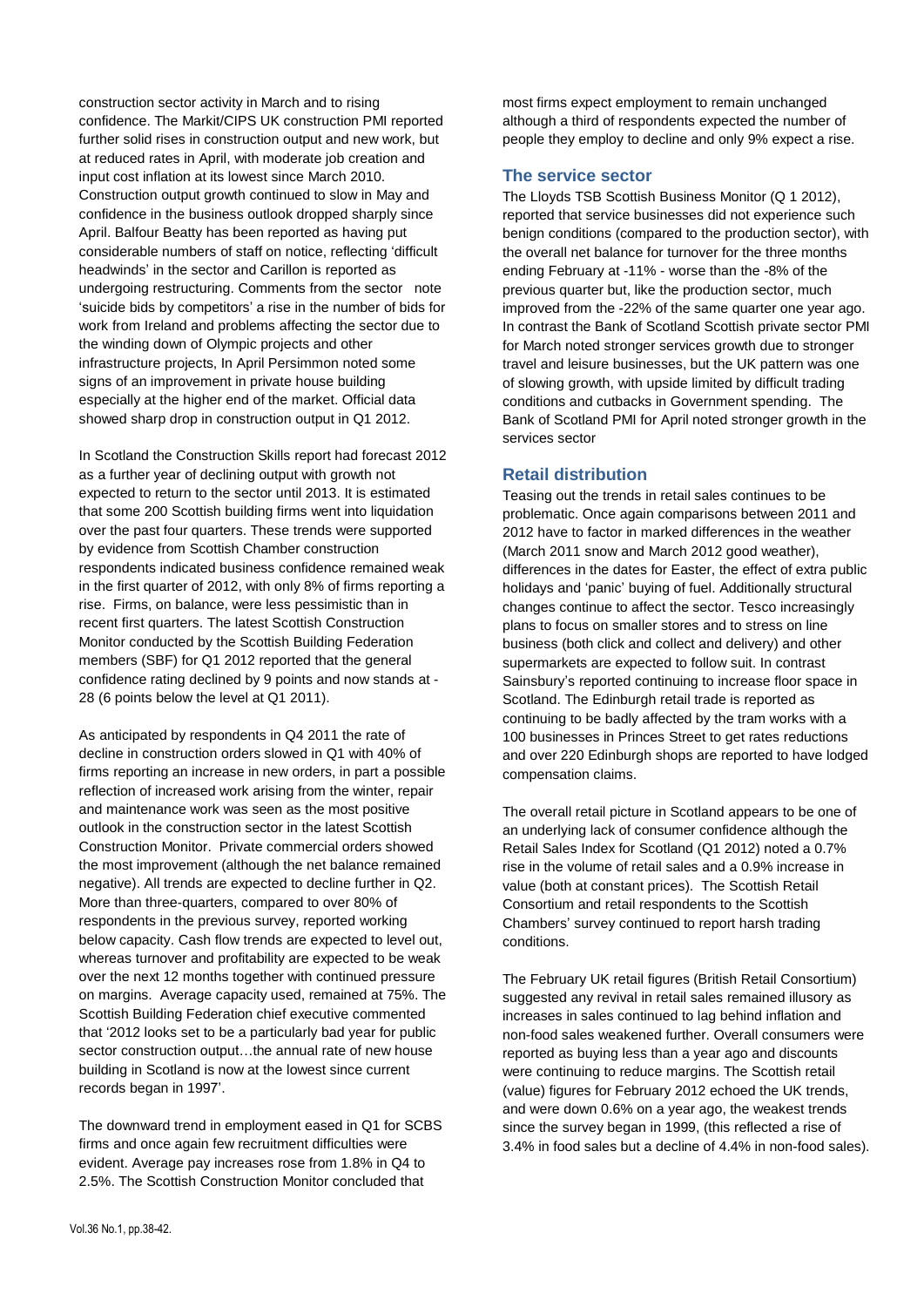construction sector activity in March and to rising confidence. The Markit/CIPS UK construction PMI reported further solid rises in construction output and new work, but at reduced rates in April, with moderate job creation and input cost inflation at its lowest since March 2010. Construction output growth continued to slow in May and confidence in the business outlook dropped sharply since April. Balfour Beatty has been reported as having put considerable numbers of staff on notice, reflecting 'difficult headwinds' in the sector and Carillon is reported as undergoing restructuring. Comments from the sector note 'suicide bids by competitors' a rise in the number of bids for work from Ireland and problems affecting the sector due to the winding down of Olympic projects and other infrastructure projects, In April Persimmon noted some signs of an improvement in private house building especially at the higher end of the market. Official data showed sharp drop in construction output in Q1 2012.

In Scotland the Construction Skills report had forecast 2012 as a further year of declining output with growth not expected to return to the sector until 2013. It is estimated that some 200 Scottish building firms went into liquidation over the past four quarters. These trends were supported by evidence from Scottish Chamber construction respondents indicated business confidence remained weak in the first quarter of 2012, with only 8% of firms reporting a rise. Firms, on balance, were less pessimistic than in recent first quarters. The latest Scottish Construction Monitor conducted by the Scottish Building Federation members (SBF) for Q1 2012 reported that the general confidence rating declined by 9 points and now stands at - 28 (6 points below the level at Q1 2011).

As anticipated by respondents in Q4 2011 the rate of decline in construction orders slowed in Q1 with 40% of firms reporting an increase in new orders, in part a possible reflection of increased work arising from the winter, repair and maintenance work was seen as the most positive outlook in the construction sector in the latest Scottish Construction Monitor. Private commercial orders showed the most improvement (although the net balance remained negative). All trends are expected to decline further in Q2. More than three-quarters, compared to over 80% of respondents in the previous survey, reported working below capacity. Cash flow trends are expected to level out, whereas turnover and profitability are expected to be weak over the next 12 months together with continued pressure on margins. Average capacity used, remained at 75%. The Scottish Building Federation chief executive commented that '2012 looks set to be a particularly bad year for public sector construction output…the annual rate of new house building in Scotland is now at the lowest since current records began in 1997'.

The downward trend in employment eased in Q1 for SCBS firms and once again few recruitment difficulties were evident. Average pay increases rose from 1.8% in Q4 to 2.5%. The Scottish Construction Monitor concluded that

most firms expect employment to remain unchanged although a third of respondents expected the number of people they employ to decline and only 9% expect a rise.

# **The service sector**

The Lloyds TSB Scottish Business Monitor (Q 1 2012), reported that service businesses did not experience such benign conditions (compared to the production sector), with the overall net balance for turnover for the three months ending February at -11% - worse than the -8% of the previous quarter but, like the production sector, much improved from the -22% of the same quarter one year ago. In contrast the Bank of Scotland Scottish private sector PMI for March noted stronger services growth due to stronger travel and leisure businesses, but the UK pattern was one of slowing growth, with upside limited by difficult trading conditions and cutbacks in Government spending. The Bank of Scotland PMI for April noted stronger growth in the services sector

## **Retail distribution**

Teasing out the trends in retail sales continues to be problematic. Once again comparisons between 2011 and 2012 have to factor in marked differences in the weather (March 2011 snow and March 2012 good weather), differences in the dates for Easter, the effect of extra public holidays and 'panic' buying of fuel. Additionally structural changes continue to affect the sector. Tesco increasingly plans to focus on smaller stores and to stress on line business (both click and collect and delivery) and other supermarkets are expected to follow suit. In contrast Sainsbury's reported continuing to increase floor space in Scotland. The Edinburgh retail trade is reported as continuing to be badly affected by the tram works with a 100 businesses in Princes Street to get rates reductions and over 220 Edinburgh shops are reported to have lodged compensation claims.

The overall retail picture in Scotland appears to be one of an underlying lack of consumer confidence although the Retail Sales Index for Scotland (Q1 2012) noted a 0.7% rise in the volume of retail sales and a 0.9% increase in value (both at constant prices). The Scottish Retail Consortium and retail respondents to the Scottish Chambers' survey continued to report harsh trading conditions.

The February UK retail figures (British Retail Consortium) suggested any revival in retail sales remained illusory as increases in sales continued to lag behind inflation and non-food sales weakened further. Overall consumers were reported as buying less than a year ago and discounts were continuing to reduce margins. The Scottish retail (value) figures for February 2012 echoed the UK trends, and were down 0.6% on a year ago, the weakest trends since the survey began in 1999, (this reflected a rise of 3.4% in food sales but a decline of 4.4% in non-food sales).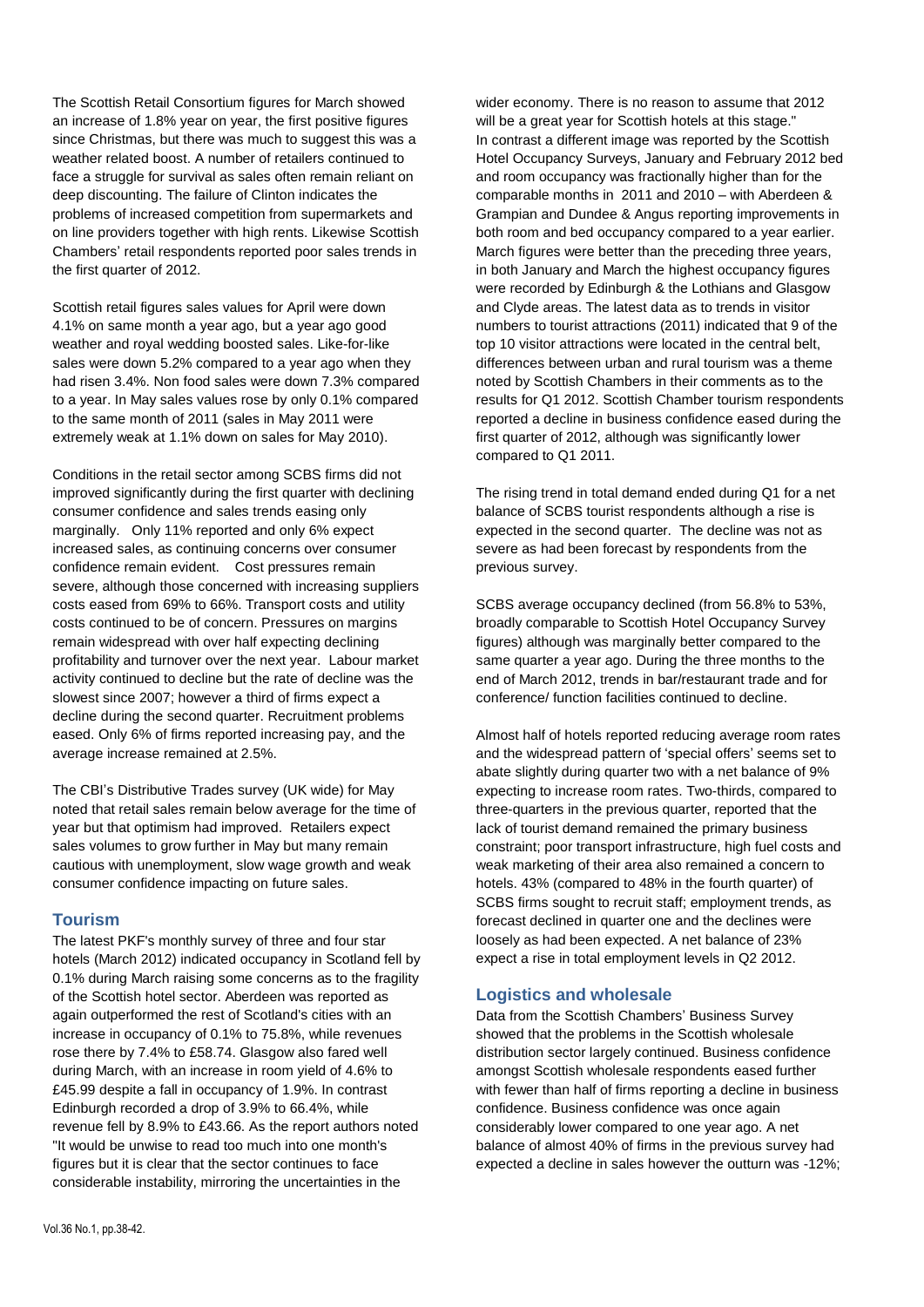The Scottish Retail Consortium figures for March showed an increase of 1.8% year on year, the first positive figures since Christmas, but there was much to suggest this was a weather related boost. A number of retailers continued to face a struggle for survival as sales often remain reliant on deep discounting. The failure of Clinton indicates the problems of increased competition from supermarkets and on line providers together with high rents. Likewise Scottish Chambers' retail respondents reported poor sales trends in the first quarter of 2012.

Scottish retail figures sales values for April were down 4.1% on same month a year ago, but a year ago good weather and royal wedding boosted sales. Like-for-like sales were down 5.2% compared to a year ago when they had risen 3.4%. Non food sales were down 7.3% compared to a year. In May sales values rose by only 0.1% compared to the same month of 2011 (sales in May 2011 were extremely weak at 1.1% down on sales for May 2010).

Conditions in the retail sector among SCBS firms did not improved significantly during the first quarter with declining consumer confidence and sales trends easing only marginally. Only 11% reported and only 6% expect increased sales, as continuing concerns over consumer confidence remain evident. Cost pressures remain severe, although those concerned with increasing suppliers costs eased from 69% to 66%. Transport costs and utility costs continued to be of concern. Pressures on margins remain widespread with over half expecting declining profitability and turnover over the next year. Labour market activity continued to decline but the rate of decline was the slowest since 2007; however a third of firms expect a decline during the second quarter. Recruitment problems eased. Only 6% of firms reported increasing pay, and the average increase remained at 2.5%.

The CBI's Distributive Trades survey (UK wide) for May noted that retail sales remain below average for the time of year but that optimism had improved. Retailers expect sales volumes to grow further in May but many remain cautious with unemployment, slow wage growth and weak consumer confidence impacting on future sales.

#### **Tourism**

The latest PKF's monthly survey of three and four star hotels (March 2012) indicated occupancy in Scotland fell by 0.1% during March raising some concerns as to the fragility of the Scottish hotel sector. Aberdeen was reported as again outperformed the rest of Scotland's cities with an increase in occupancy of 0.1% to 75.8%, while revenues rose there by 7.4% to £58.74. Glasgow also fared well during March, with an increase in room yield of 4.6% to £45.99 despite a fall in occupancy of 1.9%. In contrast Edinburgh recorded a drop of 3.9% to 66.4%, while revenue fell by 8.9% to £43.66. As the report authors noted "It would be unwise to read too much into one month's figures but it is clear that the sector continues to face considerable instability, mirroring the uncertainties in the

wider economy. There is no reason to assume that 2012 will be a great year for Scottish hotels at this stage." In contrast a different image was reported by the Scottish Hotel Occupancy Surveys, January and February 2012 bed and room occupancy was fractionally higher than for the comparable months in 2011 and 2010 – with Aberdeen & Grampian and Dundee & Angus reporting improvements in both room and bed occupancy compared to a year earlier. March figures were better than the preceding three years, in both January and March the highest occupancy figures were recorded by Edinburgh & the Lothians and Glasgow and Clyde areas. The latest data as to trends in visitor numbers to tourist attractions (2011) indicated that 9 of the top 10 visitor attractions were located in the central belt, differences between urban and rural tourism was a theme noted by Scottish Chambers in their comments as to the results for Q1 2012. Scottish Chamber tourism respondents reported a decline in business confidence eased during the first quarter of 2012, although was significantly lower compared to Q1 2011.

The rising trend in total demand ended during Q1 for a net balance of SCBS tourist respondents although a rise is expected in the second quarter. The decline was not as severe as had been forecast by respondents from the previous survey.

SCBS average occupancy declined (from 56.8% to 53%, broadly comparable to Scottish Hotel Occupancy Survey figures) although was marginally better compared to the same quarter a year ago. During the three months to the end of March 2012, trends in bar/restaurant trade and for conference/ function facilities continued to decline.

Almost half of hotels reported reducing average room rates and the widespread pattern of 'special offers' seems set to abate slightly during quarter two with a net balance of 9% expecting to increase room rates. Two-thirds, compared to three-quarters in the previous quarter, reported that the lack of tourist demand remained the primary business constraint; poor transport infrastructure, high fuel costs and weak marketing of their area also remained a concern to hotels. 43% (compared to 48% in the fourth quarter) of SCBS firms sought to recruit staff; employment trends, as forecast declined in quarter one and the declines were loosely as had been expected. A net balance of 23% expect a rise in total employment levels in Q2 2012.

## **Logistics and wholesale**

Data from the Scottish Chambers' Business Survey showed that the problems in the Scottish wholesale distribution sector largely continued. Business confidence amongst Scottish wholesale respondents eased further with fewer than half of firms reporting a decline in business confidence. Business confidence was once again considerably lower compared to one year ago. A net balance of almost 40% of firms in the previous survey had expected a decline in sales however the outturn was -12%;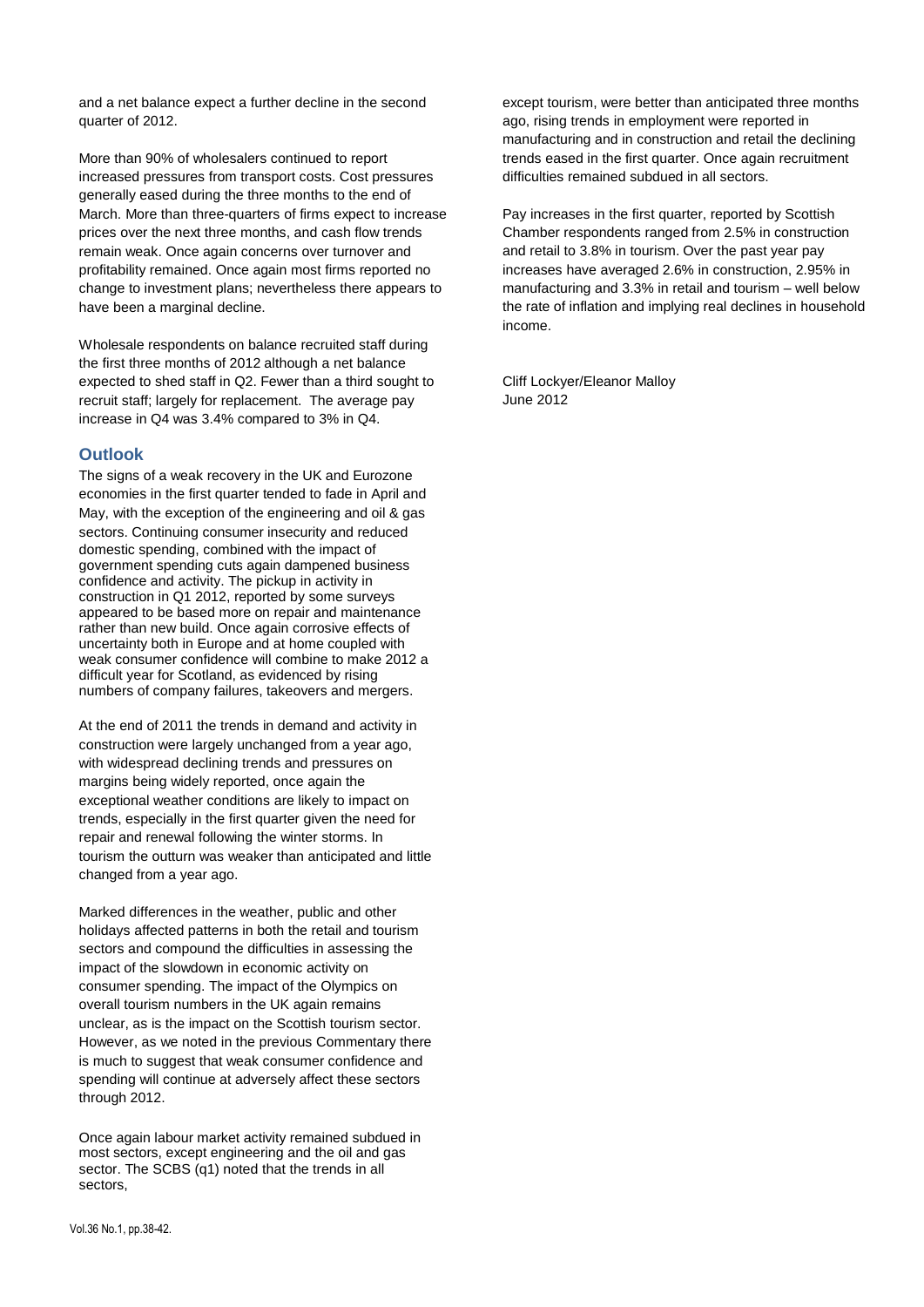and a net balance expect a further decline in the second quarter of 2012.

More than 90% of wholesalers continued to report increased pressures from transport costs. Cost pressures generally eased during the three months to the end of March. More than three-quarters of firms expect to increase prices over the next three months, and cash flow trends remain weak. Once again concerns over turnover and profitability remained. Once again most firms reported no change to investment plans; nevertheless there appears to have been a marginal decline.

Wholesale respondents on balance recruited staff during the first three months of 2012 although a net balance expected to shed staff in Q2. Fewer than a third sought to recruit staff; largely for replacement. The average pay increase in Q4 was 3.4% compared to 3% in Q4.

## **Outlook**

The signs of a weak recovery in the UK and Eurozone economies in the first quarter tended to fade in April and May, with the exception of the engineering and oil & gas sectors. Continuing consumer insecurity and reduced domestic spending, combined with the impact of government spending cuts again dampened business confidence and activity. The pickup in activity in construction in Q1 2012, reported by some surveys appeared to be based more on repair and maintenance rather than new build. Once again corrosive effects of uncertainty both in Europe and at home coupled with weak consumer confidence will combine to make 2012 a difficult year for Scotland, as evidenced by rising numbers of company failures, takeovers and mergers.

At the end of 2011 the trends in demand and activity in construction were largely unchanged from a year ago, with widespread declining trends and pressures on margins being widely reported, once again the exceptional weather conditions are likely to impact on trends, especially in the first quarter given the need for repair and renewal following the winter storms. In tourism the outturn was weaker than anticipated and little changed from a year ago.

Marked differences in the weather, public and other holidays affected patterns in both the retail and tourism sectors and compound the difficulties in assessing the impact of the slowdown in economic activity on consumer spending. The impact of the Olympics on overall tourism numbers in the UK again remains unclear, as is the impact on the Scottish tourism sector. However, as we noted in the previous Commentary there is much to suggest that weak consumer confidence and spending will continue at adversely affect these sectors through 2012.

Once again labour market activity remained subdued in most sectors, except engineering and the oil and gas sector. The SCBS (q1) noted that the trends in all sectors,

except tourism, were better than anticipated three months ago, rising trends in employment were reported in manufacturing and in construction and retail the declining trends eased in the first quarter. Once again recruitment difficulties remained subdued in all sectors.

Pay increases in the first quarter, reported by Scottish Chamber respondents ranged from 2.5% in construction and retail to 3.8% in tourism. Over the past year pay increases have averaged 2.6% in construction, 2.95% in manufacturing and 3.3% in retail and tourism – well below the rate of inflation and implying real declines in household income.

Cliff Lockyer/Eleanor Malloy June 2012